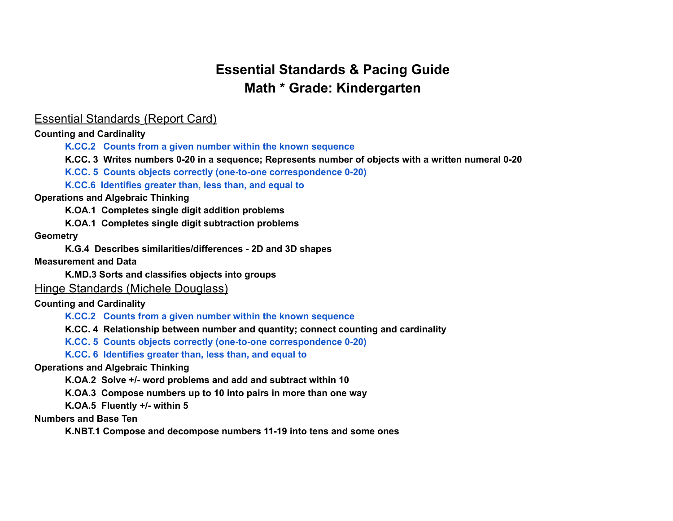## **Essential Standards & Pacing Guide Math \* Grade: Kindergarten**

### Essential Standards (Report Card)

**Counting and Cardinality**

**K.CC.2 Counts from a given number within the known sequence**

**K.CC. 3 Writes numbers 0-20 in a sequence; Represents number of objects with a written numeral 0-20**

**K.CC. 5 Counts objects correctly (one-to-one correspondence 0-20)**

**K.CC.6 Identifies greater than, less than, and equal to**

#### **Operations and Algebraic Thinking**

**K.OA.1 Completes single digit addition problems**

**K.OA.1 Completes single digit subtraction problems**

#### **Geometry**

**K.G.4 Describes similarities/differences - 2D and 3D shapes**

**Measurement and Data**

**K.MD.3 Sorts and classifies objects into groups**

Hinge Standards (Michele Douglass)

#### **Counting and Cardinality**

**K.CC.2 Counts from a given number within the known sequence**

**K.CC. 4 Relationship between number and quantity; connect counting and cardinality**

**K.CC. 5 Counts objects correctly (one-to-one correspondence 0-20)**

**K.CC. 6 Identifies greater than, less than, and equal to**

#### **Operations and Algebraic Thinking**

**K.OA.2 Solve +/- word problems and add and subtract within 10**

**K.OA.3 Compose numbers up to 10 into pairs in more than one way**

**K.OA.5 Fluently +/- within 5**

**Numbers and Base Ten**

**K.NBT.1 Compose and decompose numbers 11-19 into tens and some ones**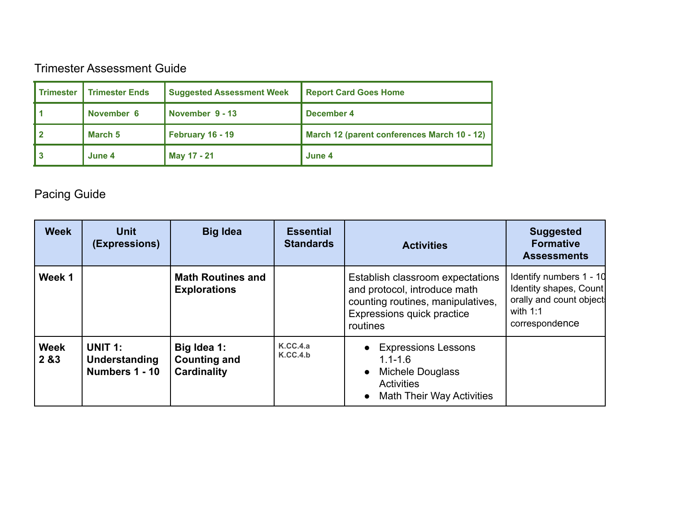### Trimester Assessment Guide

| <b>Trimester</b> | <b>Trimester Ends</b> | <b>Suggested Assessment Week</b> | <b>Report Card Goes Home</b>                |
|------------------|-----------------------|----------------------------------|---------------------------------------------|
|                  | November 6            | November 9 - 13                  | December 4                                  |
|                  | March 5               | February 16 - 19                 | March 12 (parent conferences March 10 - 12) |
|                  | June 4                | May 17 - 21                      | June 4                                      |

# Pacing Guide

| <b>Week</b>          | <b>Unit</b><br>(Expressions)                      | <b>Big Idea</b>                                          | <b>Essential</b><br><b>Standards</b> | <b>Activities</b>                                                                                                                               | <b>Suggested</b><br><b>Formative</b><br><b>Assessments</b>                                                   |
|----------------------|---------------------------------------------------|----------------------------------------------------------|--------------------------------------|-------------------------------------------------------------------------------------------------------------------------------------------------|--------------------------------------------------------------------------------------------------------------|
| Week 1               |                                                   | <b>Math Routines and</b><br><b>Explorations</b>          |                                      | Establish classroom expectations<br>and protocol, introduce math<br>counting routines, manipulatives,<br>Expressions quick practice<br>routines | Identify numbers 1 - 10<br>Identity shapes, Count<br>orally and count object<br>with $1:1$<br>correspondence |
| <b>Week</b><br>2 & 3 | <b>UNIT 1:</b><br>Understanding<br>Numbers 1 - 10 | Big Idea 1:<br><b>Counting and</b><br><b>Cardinality</b> | K.CC.4.a<br>K.CC.4.b                 | • Expressions Lessons<br>$1.1 - 1.6$<br>Michele Douglass<br>$\bullet$<br><b>Activities</b><br><b>Math Their Way Activities</b><br>$\bullet$     |                                                                                                              |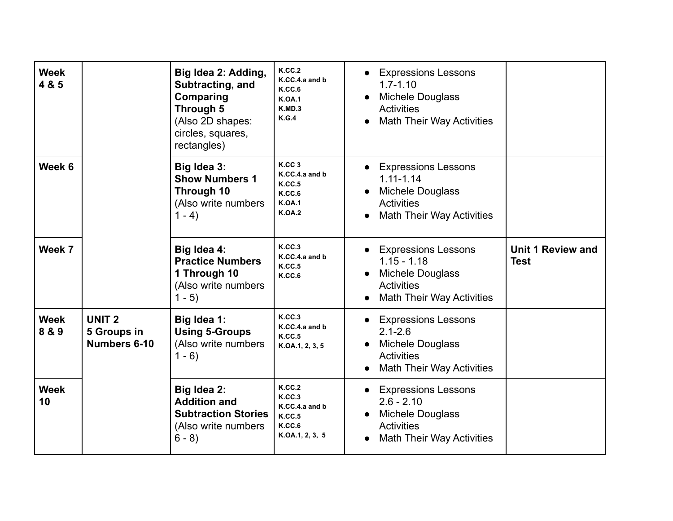| <b>Week</b><br>4 & 5 |                                                  | Big Idea 2: Adding,<br>Subtracting, and<br>Comparing<br>Through 5<br>(Also 2D shapes:<br>circles, squares,<br>rectangles) | <b>K.CC.2</b><br>K.CC.4.a and b<br>K.CC.6<br><b>K.OA.1</b><br>K.MD.3<br>K.G.4                     | <b>Expressions Lessons</b><br>$\bullet$<br>$1.7 - 1.10$<br><b>Michele Douglass</b><br>$\bullet$<br><b>Activities</b><br><b>Math Their Way Activities</b><br>$\bullet$ |                                         |
|----------------------|--------------------------------------------------|---------------------------------------------------------------------------------------------------------------------------|---------------------------------------------------------------------------------------------------|-----------------------------------------------------------------------------------------------------------------------------------------------------------------------|-----------------------------------------|
| Week 6               |                                                  | Big Idea 3:<br><b>Show Numbers 1</b><br>Through 10<br>(Also write numbers<br>$1 - 4$                                      | K.CC <sub>3</sub><br>K.CC.4.a and b<br><b>K.CC.5</b><br>K.C.C.6<br><b>K.OA.1</b><br><b>K.OA.2</b> | <b>Expressions Lessons</b><br>$\bullet$<br>$1.11 - 1.14$<br><b>Michele Douglass</b><br><b>Activities</b><br><b>Math Their Way Activities</b><br>$\bullet$             |                                         |
| Week 7               |                                                  | Big Idea 4:<br><b>Practice Numbers</b><br>1 Through 10<br>(Also write numbers<br>$1 - 5$                                  | K.CC.3<br>K.CC.4.a and b<br>K.C.C.5<br>K.CC.6                                                     | <b>Expressions Lessons</b><br>$1.15 - 1.18$<br><b>Michele Douglass</b><br>$\bullet$<br><b>Activities</b><br><b>Math Their Way Activities</b><br>$\bullet$             | <b>Unit 1 Review and</b><br><b>Test</b> |
| <b>Week</b><br>8 & 9 | UNIT <sub>2</sub><br>5 Groups in<br>Numbers 6-10 | Big Idea 1:<br><b>Using 5-Groups</b><br>(Also write numbers<br>$1 - 6$                                                    | K.CC.3<br>K.CC.4.a and b<br><b>K.CC.5</b><br>K.OA.1, 2, 3, 5                                      | <b>Expressions Lessons</b><br>$\bullet$<br>$2.1 - 2.6$<br>Michele Douglass<br>Activities<br><b>Math Their Way Activities</b><br>$\bullet$                             |                                         |
| <b>Week</b><br>10    |                                                  | Big Idea 2:<br><b>Addition and</b><br><b>Subtraction Stories</b><br>(Also write numbers<br>$6 - 8$                        | <b>K.CC.2</b><br>K.CC.3<br>K.CC.4.a and b<br>K.CC.5<br>K.CC.6<br>K.OA.1, 2, 3, 5                  | <b>Expressions Lessons</b><br>$\bullet$<br>$2.6 - 2.10$<br>Michele Douglass<br>Activities<br><b>Math Their Way Activities</b>                                         |                                         |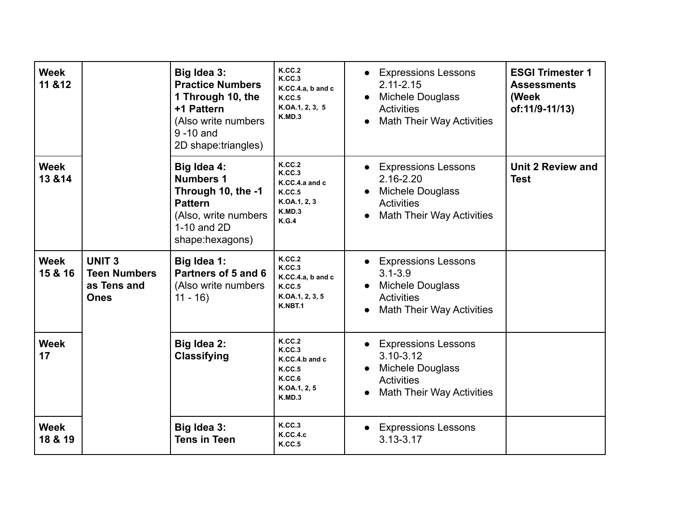| <b>Week</b><br>11 & 12 |                                                                   | Big Idea 3:<br><b>Practice Numbers</b><br>1 Through 10, the<br>+1 Pattern<br>(Also write numbers<br>$9 - 10$ and<br>2D shape:triangles) | K.C.C.2<br>K.CC.3<br>K.CC.4.a, b and c<br>K.C.C.5<br>K.OA.1, 2, 3, 5<br>K.MD.3            | <b>Expressions Lessons</b><br>$\bullet$<br>$2.11 - 2.15$<br><b>Michele Douglass</b><br><b>Activities</b><br><b>Math Their Way Activities</b><br>$\bullet$ | <b>ESGI Trimester 1</b><br><b>Assessments</b><br>(Week<br>of:11/9-11/13) |
|------------------------|-------------------------------------------------------------------|-----------------------------------------------------------------------------------------------------------------------------------------|-------------------------------------------------------------------------------------------|-----------------------------------------------------------------------------------------------------------------------------------------------------------|--------------------------------------------------------------------------|
| <b>Week</b><br>13 & 14 |                                                                   | Big Idea 4:<br><b>Numbers 1</b><br>Through 10, the -1<br><b>Pattern</b><br>(Also, write numbers<br>1-10 and 2D<br>shape:hexagons)       | <b>K.CC.2</b><br>K.CC.3<br>K.CC.4.a and c<br>K.CC.5<br>K.OA.1, 2, 3<br>K.MD.3<br>K.G.4    | • Expressions Lessons<br>2.16-2.20<br><b>Michele Douglass</b><br><b>Activities</b><br><b>Math Their Way Activities</b><br>$\bullet$                       | <b>Unit 2 Review and</b><br><b>Test</b>                                  |
| <b>Week</b><br>15 & 16 | <b>UNIT3</b><br><b>Teen Numbers</b><br>as Tens and<br><b>Ones</b> | Big Idea 1:<br>Partners of 5 and 6<br>(Also write numbers<br>$11 - 16$                                                                  | K.CC.2<br>K.C.C.3<br>K.CC.4.a, b and c<br>K.C.C.5<br>K.OA.1, 2, 3, 5<br>K.NBT.1           | • Expressions Lessons<br>$3.1 - 3.9$<br><b>Michele Douglass</b><br><b>Activities</b><br><b>Math Their Way Activities</b><br>$\bullet$                     |                                                                          |
| <b>Week</b><br>17      |                                                                   | Big Idea 2:<br><b>Classifying</b>                                                                                                       | <b>K.CC.2</b><br>K.C.C.3<br>K.CC.4.b and c<br>K.C.C.5<br>K.CC.6<br>K.OA.1, 2, 5<br>K.MD.3 | • Expressions Lessons<br>$3.10 - 3.12$<br>Michele Douglass<br>$\bullet$<br><b>Activities</b><br><b>Math Their Way Activities</b>                          |                                                                          |
| <b>Week</b><br>18 & 19 |                                                                   | Big Idea 3:<br><b>Tens in Teen</b>                                                                                                      | <b>K.CC.3</b><br><b>K.CC.4.c</b><br><b>K.CC.5</b>                                         | <b>Expressions Lessons</b><br>$\bullet$<br>$3.13 - 3.17$                                                                                                  |                                                                          |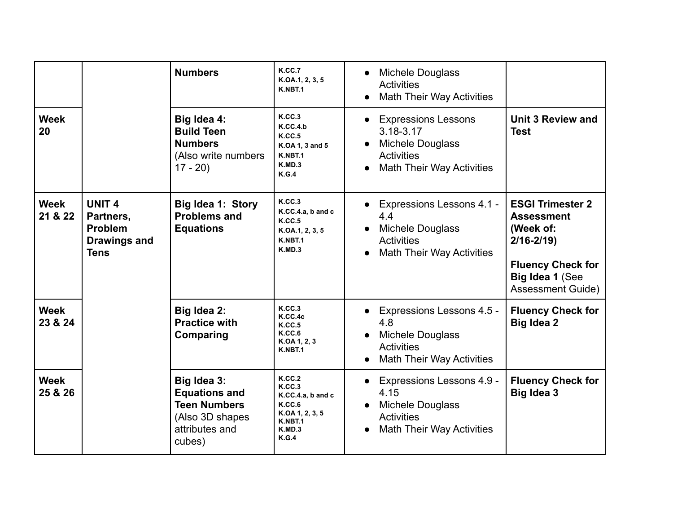|                        |                                                                                    | <b>Numbers</b>                                                                                            | K.CC.7<br>K.OA.1, 2, 3, 5<br>K.NBT.1                                                                            | <b>Michele Douglass</b><br>$\bullet$<br><b>Activities</b><br><b>Math Their Way Activities</b><br>$\bullet$                                            |                                                                                                                                                       |
|------------------------|------------------------------------------------------------------------------------|-----------------------------------------------------------------------------------------------------------|-----------------------------------------------------------------------------------------------------------------|-------------------------------------------------------------------------------------------------------------------------------------------------------|-------------------------------------------------------------------------------------------------------------------------------------------------------|
| <b>Week</b><br>20      |                                                                                    | Big Idea 4:<br><b>Build Teen</b><br><b>Numbers</b><br>(Also write numbers<br>$17 - 20$                    | <b>K.CC.3</b><br>K.CC.4.b<br>K.C.C.5<br>K.OA 1, 3 and 5<br>K.NBT.1<br>K.MD.3<br>K.G.4                           | <b>Expressions Lessons</b><br>$\bullet$<br>3.18-3.17<br><b>Michele Douglass</b><br><b>Activities</b><br><b>Math Their Way Activities</b><br>$\bullet$ | <b>Unit 3 Review and</b><br><b>Test</b>                                                                                                               |
| <b>Week</b><br>21 & 22 | <b>UNIT 4</b><br>Partners,<br><b>Problem</b><br><b>Drawings and</b><br><b>Tens</b> | <b>Big Idea 1: Story</b><br><b>Problems and</b><br><b>Equations</b>                                       | K.CC.3<br>K.CC.4.a, b and c<br>K.CC.5<br>K.OA.1, 2, 3, 5<br>K.NBT.1<br>K.MD.3                                   | <b>Expressions Lessons 4.1 -</b><br>$\bullet$<br>4.4<br><b>Michele Douglass</b><br><b>Activities</b><br><b>Math Their Way Activities</b><br>$\bullet$ | <b>ESGI Trimester 2</b><br><b>Assessment</b><br>(Week of:<br>$2/16 - 2/19$<br><b>Fluency Check for</b><br>Big Idea 1 (See<br><b>Assessment Guide)</b> |
| <b>Week</b><br>23 & 24 |                                                                                    | Big Idea 2:<br><b>Practice with</b><br>Comparing                                                          | K.C.C.3<br>K.CC.4c<br>K.CC.5<br>K.CC.6<br>K.OA 1, 2, 3<br>K.NBT.1                                               | Expressions Lessons 4.5 -<br>$\bullet$<br>4.8<br><b>Michele Douglass</b><br><b>Activities</b><br><b>Math Their Way Activities</b><br>$\bullet$        | <b>Fluency Check for</b><br><b>Big Idea 2</b>                                                                                                         |
| <b>Week</b><br>25 & 26 |                                                                                    | Big Idea 3:<br><b>Equations and</b><br><b>Teen Numbers</b><br>(Also 3D shapes<br>attributes and<br>cubes) | <b>K.CC.2</b><br>K.C.C.3<br>K.CC.4.a, b and c<br>K.CC.6<br>K.OA 1, 2, 3, 5<br>K.NBT.1<br>K.MD.3<br><b>K.G.4</b> | <b>Expressions Lessons 4.9 -</b><br>$\bullet$<br>4.15<br>Michele Douglass<br>$\bullet$<br><b>Activities</b><br><b>Math Their Way Activities</b>       | <b>Fluency Check for</b><br><b>Big Idea 3</b>                                                                                                         |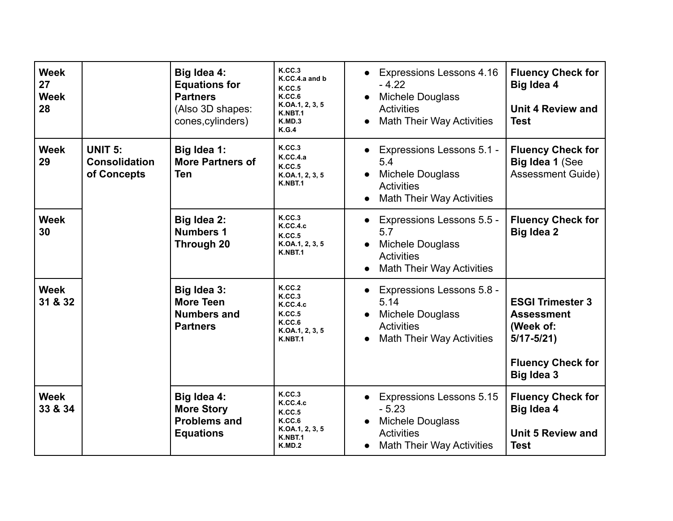| <b>Week</b><br>27<br><b>Week</b><br>28 |                                                       | Big Idea 4:<br><b>Equations for</b><br><b>Partners</b><br>(Also 3D shapes:<br>cones, cylinders) | K.CC.3<br>K.CC.4.a and b<br>K.CC.5<br>K.C.C.6<br>K.OA.1, 2, 3, 5<br>K.NBT.1<br>K.MD.3<br>K.G.4 | <b>Expressions Lessons 4.16</b><br>$-4.22$<br>Michele Douglass<br><b>Activities</b><br><b>Math Their Way Activities</b><br>$\bullet$                         | <b>Fluency Check for</b><br>Big Idea 4<br><b>Unit 4 Review and</b><br><b>Test</b>                                           |
|----------------------------------------|-------------------------------------------------------|-------------------------------------------------------------------------------------------------|------------------------------------------------------------------------------------------------|--------------------------------------------------------------------------------------------------------------------------------------------------------------|-----------------------------------------------------------------------------------------------------------------------------|
| <b>Week</b><br>29                      | <b>UNIT 5:</b><br><b>Consolidation</b><br>of Concepts | Big Idea 1:<br><b>More Partners of</b><br><b>Ten</b>                                            | <b>K.CC.3</b><br>K.CC.4.a<br>K.CC.5<br>K.OA.1, 2, 3, 5<br>K.NBT.1                              | <b>Expressions Lessons 5.1 -</b><br>5.4<br><b>Michele Douglass</b><br>$\bullet$<br><b>Activities</b><br><b>Math Their Way Activities</b><br>$\bullet$        | <b>Fluency Check for</b><br>Big Idea 1 (See<br><b>Assessment Guide)</b>                                                     |
| <b>Week</b><br>30                      |                                                       | Big Idea 2:<br><b>Numbers 1</b><br>Through 20                                                   | <b>K.CC.3</b><br><b>K.CC.4.c</b><br>K.CC.5<br>K.OA.1, 2, 3, 5<br>K.NBT.1                       | <b>Expressions Lessons 5.5 -</b><br>$\bullet$<br>5.7<br><b>Michele Douglass</b><br><b>Activities</b><br><b>Math Their Way Activities</b><br>$\bullet$        | <b>Fluency Check for</b><br>Big Idea 2                                                                                      |
| <b>Week</b><br>31 & 32                 |                                                       | Big Idea 3:<br><b>More Teen</b><br><b>Numbers and</b><br><b>Partners</b>                        | K.CC.2<br>K.CC.3<br><b>K.CC.4.c</b><br>K.CC.5<br>K.CC.6<br>K.OA.1, 2, 3, 5<br>K.NBT.1          | Expressions Lessons 5.8 -<br>$\bullet$<br>5.14<br><b>Michele Douglass</b><br>$\bullet$<br><b>Activities</b><br><b>Math Their Way Activities</b><br>$\bullet$ | <b>ESGI Trimester 3</b><br><b>Assessment</b><br>(Week of:<br>$5/17 - 5/21$<br><b>Fluency Check for</b><br><b>Big Idea 3</b> |
| <b>Week</b><br>33 & 34                 |                                                       | Big Idea 4:<br><b>More Story</b><br><b>Problems and</b><br><b>Equations</b>                     | K.C.C.3<br><b>K.CC.4.c</b><br>K.C.C.5<br>K.CC.6<br>K.OA.1, 2, 3, 5<br>K.NBT.1<br>K.MD.2        | <b>Expressions Lessons 5.15</b><br>$\bullet$<br>$-5.23$<br><b>Michele Douglass</b><br><b>Activities</b><br><b>Math Their Way Activities</b>                  | <b>Fluency Check for</b><br>Big Idea 4<br><b>Unit 5 Review and</b><br><b>Test</b>                                           |